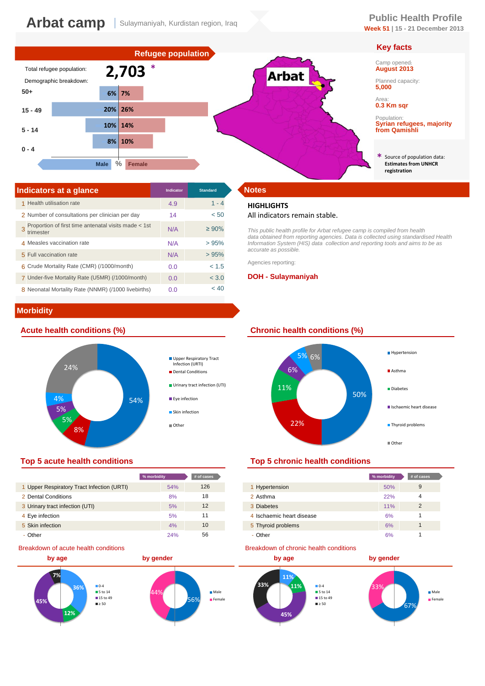## **Arbat camp** Sulaymaniyah, Kurdistan region, Iraq<br> **Public Health Profile** Sulaymaniyah, Kurdistan region, Iraq<br>
Sulaymaniyah, Kurdistan region, Iraq

# **Week 51 | 15 - 21 December 2013**





| Indicators at a glance                                            | <b>Indicator</b> | <b>Standard</b> | <b>Notes</b>       |
|-------------------------------------------------------------------|------------------|-----------------|--------------------|
| 1 Health utilisation rate                                         | 4.9              | $1 - 4$         | <b>HIGH</b>        |
| 2 Number of consultations per clinician per day                   | 14               | < 50            | All ind            |
| Proportion of first time antenatal visits made < 1st<br>trimester | N/A              | $\geq 90\%$     | This pu<br>data ob |
| 4 Measles vaccination rate                                        | N/A              | >95%            | Informa            |
| 5 Full vaccination rate                                           | N/A              | >95%            | accurat            |
| 6 Crude Mortality Rate (CMR) (/1000/month)                        | 0.0              | < 1.5           | Agencie            |
| 7 Under-five Mortality Rate (U5MR) (/1000/month)                  | 0.0              | < 3.0           | <b>DOH</b>         |
| 8 Neonatal Mortality Rate (NNMR) (/1000 livebirths)               | 0.0              | < 40            |                    |

# **Morbidity**



|                                            | % morbidity | # of cases |
|--------------------------------------------|-------------|------------|
| 1 Upper Respiratory Tract Infection (URTI) | 54%         | 126        |
| 2 Dental Conditions                        | 8%          | 18         |
| 3 Urinary tract infection (UTI)            | 5%          | 12         |
| 4 Eye infection                            | 5%          | 11         |
| 5 Skin infection                           | 4%          | 10         |
| - Other                                    | 24%         | 56         |

#### Breakdown of acute health conditions



### **HIGHLIGHTS**

#### All indicators remain stable.

**Arbat** 

*This public health profile for Arbat refugee camp is compiled from health data obtained from reporting agencies. Data is collected using standardised Health Information System (HIS) data collection and reporting tools and aims to be as accurate as possible.* 

Agencies reporting:

#### **DOH - Sulaymaniyah**

#### **Acute health conditions (%) Chronic health conditions (%)**



### **Top 5 acute health conditions Top 5 chronic health conditions**

| % morbidity |     | # of cases |                           | % morbidity | # of cases |
|-------------|-----|------------|---------------------------|-------------|------------|
|             | 54% | 126        | 1 Hypertension            | 50%         | 9          |
|             | 8%  | 18         | 2 Asthma                  | 22%         |            |
|             | 5%  | 12         | 3 Diabetes                | 11%         | 2          |
|             | 5%  | 11         | 4 Ischaemic heart disease | 6%          |            |
|             | 4%  | 10         | 5 Thyroid problems        | 6%          |            |
|             | 24% | 56         | - Other                   | 6%          |            |

#### Breakdown of chronic health conditions



### **Key facts**

Camp opened: **August 2013**

Planned capacity: **5,000**

#### Area: **0.3 Km sqr**

Population: **Syrian refugees, majority from Qamishli**

\* Source of population data: **Estimates from UNHCR registration**